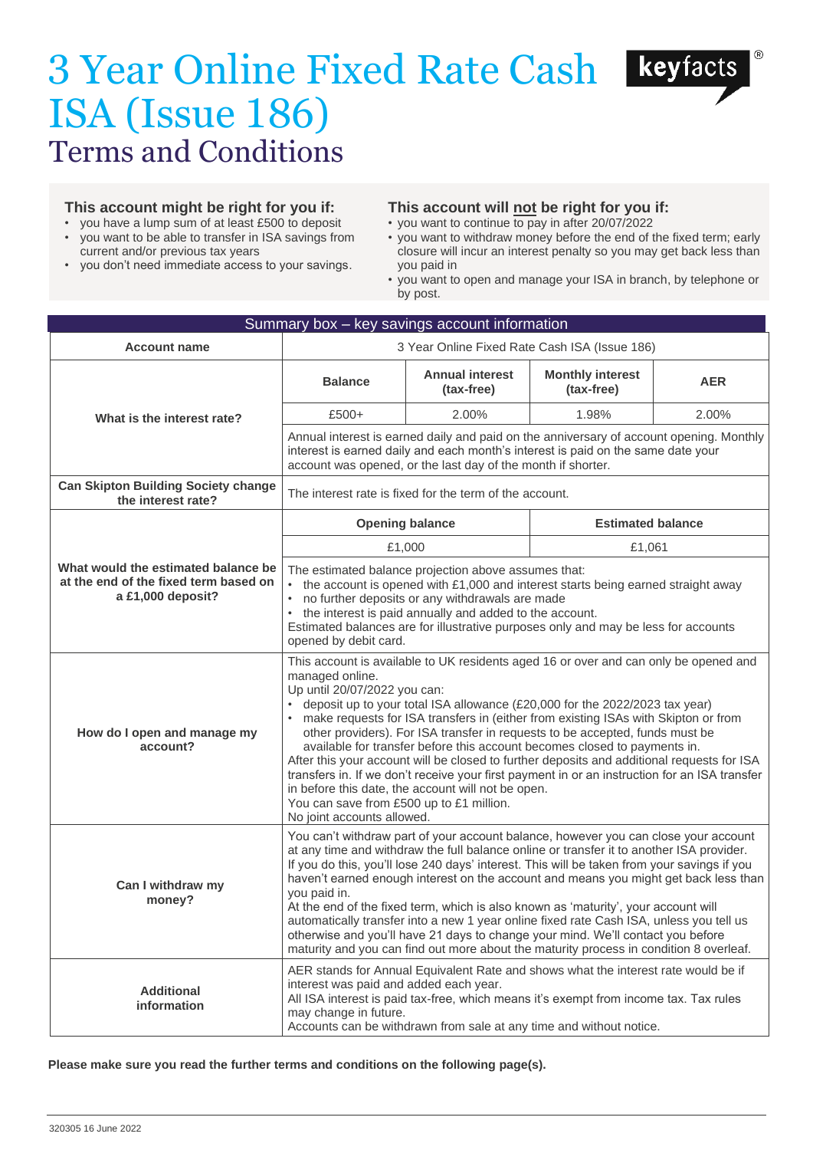# 3 Year Online Fixed Rate Cash ISA (Issue 186) Terms and Conditions



- you have a lump sum of at least £500 to deposit
- you want to be able to transfer in ISA savings from current and/or previous tax years
- you don't need immediate access to your savings.

# **This account will not be right for you if:**

- you want to continue to pay in after 20/07/2022
- you want to withdraw money before the end of the fixed term; early closure will incur an interest penalty so you may get back less than you paid in
- you want to open and manage your ISA in branch, by telephone or by post.

| Summary box - key savings account information                                                     |                                                                                                                                                                                                                                                                                                                                                                                                                                                                                                                                                                                                                                                                                                                                                                                                              |                                      |                                       |            |  |  |  |  |
|---------------------------------------------------------------------------------------------------|--------------------------------------------------------------------------------------------------------------------------------------------------------------------------------------------------------------------------------------------------------------------------------------------------------------------------------------------------------------------------------------------------------------------------------------------------------------------------------------------------------------------------------------------------------------------------------------------------------------------------------------------------------------------------------------------------------------------------------------------------------------------------------------------------------------|--------------------------------------|---------------------------------------|------------|--|--|--|--|
| <b>Account name</b>                                                                               | 3 Year Online Fixed Rate Cash ISA (Issue 186)                                                                                                                                                                                                                                                                                                                                                                                                                                                                                                                                                                                                                                                                                                                                                                |                                      |                                       |            |  |  |  |  |
| What is the interest rate?                                                                        | <b>Balance</b>                                                                                                                                                                                                                                                                                                                                                                                                                                                                                                                                                                                                                                                                                                                                                                                               | <b>Annual interest</b><br>(tax-free) | <b>Monthly interest</b><br>(tax-free) | <b>AER</b> |  |  |  |  |
|                                                                                                   | $£500+$                                                                                                                                                                                                                                                                                                                                                                                                                                                                                                                                                                                                                                                                                                                                                                                                      | 2.00%                                | 1.98%                                 | 2.00%      |  |  |  |  |
|                                                                                                   | Annual interest is earned daily and paid on the anniversary of account opening. Monthly<br>interest is earned daily and each month's interest is paid on the same date your<br>account was opened, or the last day of the month if shorter.                                                                                                                                                                                                                                                                                                                                                                                                                                                                                                                                                                  |                                      |                                       |            |  |  |  |  |
| <b>Can Skipton Building Society change</b><br>the interest rate?                                  | The interest rate is fixed for the term of the account.                                                                                                                                                                                                                                                                                                                                                                                                                                                                                                                                                                                                                                                                                                                                                      |                                      |                                       |            |  |  |  |  |
| What would the estimated balance be<br>at the end of the fixed term based on<br>a £1,000 deposit? | <b>Opening balance</b>                                                                                                                                                                                                                                                                                                                                                                                                                                                                                                                                                                                                                                                                                                                                                                                       |                                      | <b>Estimated balance</b>              |            |  |  |  |  |
|                                                                                                   | £1,000                                                                                                                                                                                                                                                                                                                                                                                                                                                                                                                                                                                                                                                                                                                                                                                                       |                                      | £1,061                                |            |  |  |  |  |
|                                                                                                   | The estimated balance projection above assumes that:<br>• the account is opened with £1,000 and interest starts being earned straight away<br>no further deposits or any withdrawals are made<br>$\bullet$<br>• the interest is paid annually and added to the account.<br>Estimated balances are for illustrative purposes only and may be less for accounts<br>opened by debit card.                                                                                                                                                                                                                                                                                                                                                                                                                       |                                      |                                       |            |  |  |  |  |
| How do I open and manage my<br>account?                                                           | This account is available to UK residents aged 16 or over and can only be opened and<br>managed online.<br>Up until 20/07/2022 you can:<br>• deposit up to your total ISA allowance (£20,000 for the 2022/2023 tax year)<br>• make requests for ISA transfers in (either from existing ISAs with Skipton or from<br>other providers). For ISA transfer in requests to be accepted, funds must be<br>available for transfer before this account becomes closed to payments in.<br>After this your account will be closed to further deposits and additional requests for ISA<br>transfers in. If we don't receive your first payment in or an instruction for an ISA transfer<br>in before this date, the account will not be open.<br>You can save from £500 up to £1 million.<br>No joint accounts allowed. |                                      |                                       |            |  |  |  |  |
| Can I withdraw my<br>money?                                                                       | You can't withdraw part of your account balance, however you can close your account<br>at any time and withdraw the full balance online or transfer it to another ISA provider.<br>If you do this, you'll lose 240 days' interest. This will be taken from your savings if you<br>haven't earned enough interest on the account and means you might get back less than<br>you paid in.<br>At the end of the fixed term, which is also known as 'maturity', your account will<br>automatically transfer into a new 1 year online fixed rate Cash ISA, unless you tell us<br>otherwise and you'll have 21 days to change your mind. We'll contact you before<br>maturity and you can find out more about the maturity process in condition 8 overleaf.                                                         |                                      |                                       |            |  |  |  |  |
| <b>Additional</b><br>information                                                                  | AER stands for Annual Equivalent Rate and shows what the interest rate would be if<br>interest was paid and added each year.<br>All ISA interest is paid tax-free, which means it's exempt from income tax. Tax rules<br>may change in future.<br>Accounts can be withdrawn from sale at any time and without notice.                                                                                                                                                                                                                                                                                                                                                                                                                                                                                        |                                      |                                       |            |  |  |  |  |

## **Please make sure you read the further terms and conditions on the following page(s).**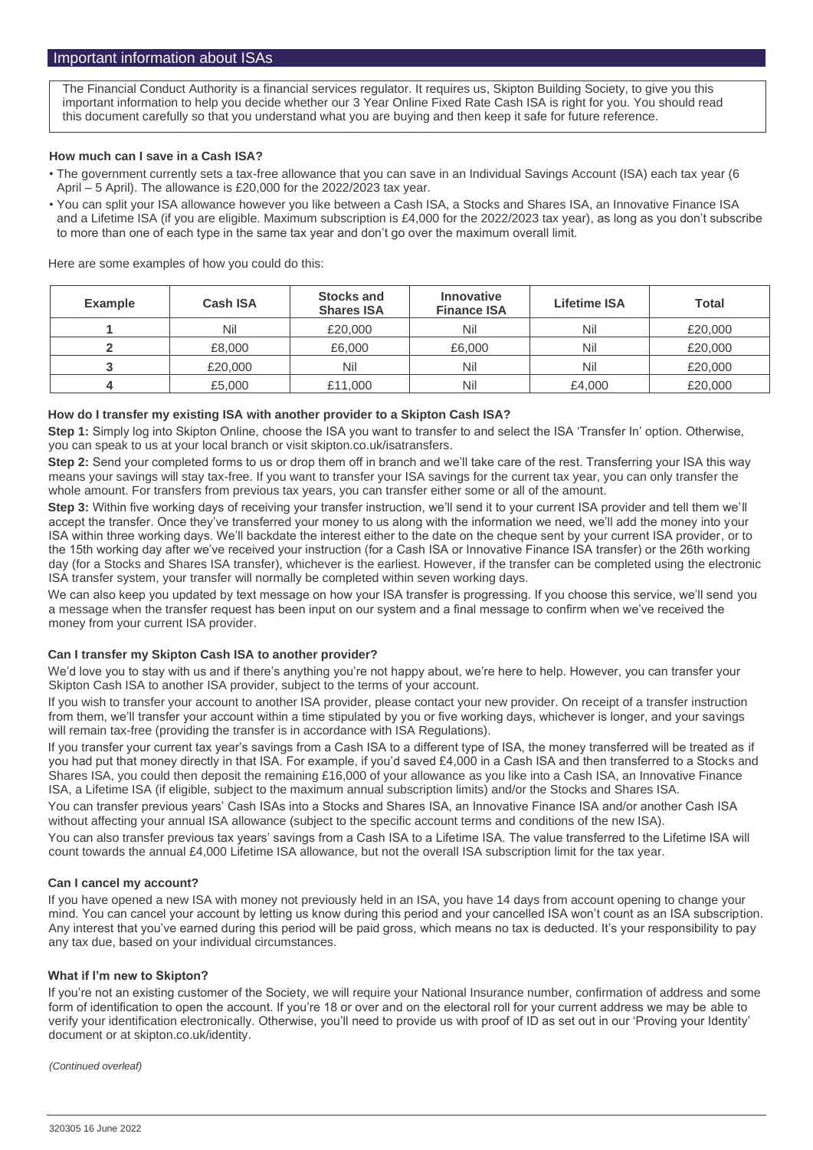The Financial Conduct Authority is a financial services regulator. It requires us, Skipton Building Society, to give you this important information to help you decide whether our 3 Year Online Fixed Rate Cash ISA is right for you. You should read this document carefully so that you understand what you are buying and then keep it safe for future reference.

## **How much can I save in a Cash ISA?**

- The government currently sets a tax-free allowance that you can save in an Individual Savings Account (ISA) each tax year (6 April – 5 April). The allowance is £20,000 for the 2022/2023 tax year.
- You can split your ISA allowance however you like between a Cash ISA, a Stocks and Shares ISA, an Innovative Finance ISA and a Lifetime ISA (if you are eligible. Maximum subscription is £4,000 for the 2022/2023 tax year), as long as you don't subscribe to more than one of each type in the same tax year and don't go over the maximum overall limit.

Here are some examples of how you could do this:

| <b>Example</b> | <b>Cash ISA</b> | <b>Stocks and</b><br><b>Shares ISA</b> | <b>Innovative</b><br><b>Finance ISA</b> | <b>Lifetime ISA</b> | <b>Total</b> |
|----------------|-----------------|----------------------------------------|-----------------------------------------|---------------------|--------------|
|                | Nil             | £20,000                                | Nil                                     | Nil                 | £20,000      |
|                | £8,000          | £6,000                                 | £6,000                                  | Nil                 | £20,000      |
|                | £20,000         | Nil                                    | Nil                                     | Nil                 | £20,000      |
| 4              | £5,000          | £11,000                                | Nil                                     | £4,000              | £20,000      |

## **How do I transfer my existing ISA with another provider to a Skipton Cash ISA?**

**Step 1:** Simply log into Skipton Online, choose the ISA you want to transfer to and select the ISA 'Transfer In' option. Otherwise, you can speak to us at your local branch or visit skipton.co.uk/isatransfers.

**Step 2:** Send your completed forms to us or drop them off in branch and we'll take care of the rest. Transferring your ISA this way means your savings will stay tax-free. If you want to transfer your ISA savings for the current tax year, you can only transfer the whole amount. For transfers from previous tax years, you can transfer either some or all of the amount.

**Step 3:** Within five working days of receiving your transfer instruction, we'll send it to your current ISA provider and tell them we'll accept the transfer. Once they've transferred your money to us along with the information we need, we'll add the money into your ISA within three working days. We'll backdate the interest either to the date on the cheque sent by your current ISA provider, or to the 15th working day after we've received your instruction (for a Cash ISA or Innovative Finance ISA transfer) or the 26th working day (for a Stocks and Shares ISA transfer), whichever is the earliest. However, if the transfer can be completed using the electronic ISA transfer system, your transfer will normally be completed within seven working days.

We can also keep you updated by text message on how your ISA transfer is progressing. If you choose this service, we'll send you a message when the transfer request has been input on our system and a final message to confirm when we've received the money from your current ISA provider.

## **Can I transfer my Skipton Cash ISA to another provider?**

We'd love you to stay with us and if there's anything you're not happy about, we're here to help. However, you can transfer your Skipton Cash ISA to another ISA provider, subject to the terms of your account.

If you wish to transfer your account to another ISA provider, please contact your new provider. On receipt of a transfer instruction from them, we'll transfer your account within a time stipulated by you or five working days, whichever is longer, and your savings will remain tax-free (providing the transfer is in accordance with ISA Regulations).

If you transfer your current tax year's savings from a Cash ISA to a different type of ISA, the money transferred will be treated as if you had put that money directly in that ISA. For example, if you'd saved £4,000 in a Cash ISA and then transferred to a Stocks and Shares ISA, you could then deposit the remaining £16,000 of your allowance as you like into a Cash ISA, an Innovative Finance ISA, a Lifetime ISA (if eligible, subject to the maximum annual subscription limits) and/or the Stocks and Shares ISA.

You can transfer previous years' Cash ISAs into a Stocks and Shares ISA, an Innovative Finance ISA and/or another Cash ISA without affecting your annual ISA allowance (subject to the specific account terms and conditions of the new ISA).

You can also transfer previous tax years' savings from a Cash ISA to a Lifetime ISA. The value transferred to the Lifetime ISA will count towards the annual £4,000 Lifetime ISA allowance, but not the overall ISA subscription limit for the tax year.

#### **Can I cancel my account?**

If you have opened a new ISA with money not previously held in an ISA, you have 14 days from account opening to change your mind. You can cancel your account by letting us know during this period and your cancelled ISA won't count as an ISA subscription. Any interest that you've earned during this period will be paid gross, which means no tax is deducted. It's your responsibility to pay any tax due, based on your individual circumstances.

#### **What if I'm new to Skipton?**

If you're not an existing customer of the Society, we will require your National Insurance number, confirmation of address and some form of identification to open the account. If you're 18 or over and on the electoral roll for your current address we may be able to verify your identification electronically. Otherwise, you'll need to provide us with proof of ID as set out in our 'Proving your Identity' document or at skipton.co.uk/identity.

*(Continued overleaf)*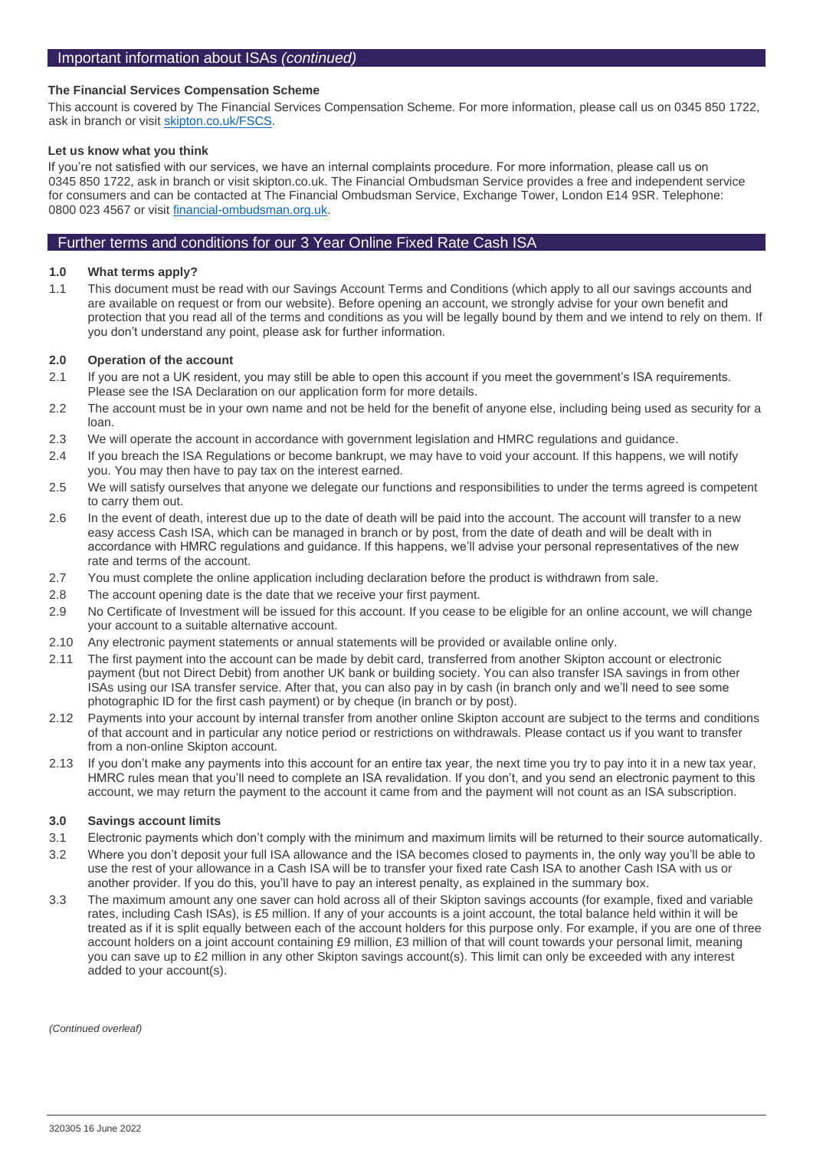## **The Financial Services Compensation Scheme**

This account is covered by The Financial Services Compensation Scheme. For more information, please call us on 0345 850 1722, ask in branch or visit [skipton.co.uk/FSCS.](https://www.skipton.co.uk/savings/savings-hub/financial-services-compensation-scheme)

#### **Let us know what you think**

If you're not satisfied with our services, we have an internal complaints procedure. For more information, please call us on 0345 850 1722, ask in branch or visit skipton.co.uk. The Financial Ombudsman Service provides a free and independent service for consumers and can be contacted at The Financial Ombudsman Service, Exchange Tower, London E14 9SR. Telephone: 0800 023 4567 or visit [financial-ombudsman.org.uk.](https://www.financial-ombudsman.org.uk/)

## Further terms and conditions for our 3 Year Online Fixed Rate Cash ISA

#### **1.0 What terms apply?**

1.1 This document must be read with our Savings Account Terms and Conditions (which apply to all our savings accounts and are available on request or from our website). Before opening an account, we strongly advise for your own benefit and protection that you read all of the terms and conditions as you will be legally bound by them and we intend to rely on them. If you don't understand any point, please ask for further information.

#### **2.0 Operation of the account**

- 2.1 If you are not a UK resident, you may still be able to open this account if you meet the government's ISA requirements. Please see the ISA Declaration on our application form for more details.
- 2.2 The account must be in your own name and not be held for the benefit of anyone else, including being used as security for a loan.
- 2.3 We will operate the account in accordance with government legislation and HMRC regulations and guidance.
- 2.4 If you breach the ISA Regulations or become bankrupt, we may have to void your account. If this happens, we will notify you. You may then have to pay tax on the interest earned.
- 2.5 We will satisfy ourselves that anyone we delegate our functions and responsibilities to under the terms agreed is competent to carry them out.
- 2.6 In the event of death, interest due up to the date of death will be paid into the account. The account will transfer to a new easy access Cash ISA, which can be managed in branch or by post, from the date of death and will be dealt with in accordance with HMRC regulations and guidance. If this happens, we'll advise your personal representatives of the new rate and terms of the account.
- 2.7 You must complete the online application including declaration before the product is withdrawn from sale.
- 2.8 The account opening date is the date that we receive your first payment.
- 2.9 No Certificate of Investment will be issued for this account. If you cease to be eligible for an online account, we will change your account to a suitable alternative account.
- 2.10 Any electronic payment statements or annual statements will be provided or available online only.
- 2.11 The first payment into the account can be made by debit card, transferred from another Skipton account or electronic payment (but not Direct Debit) from another UK bank or building society. You can also transfer ISA savings in from other ISAs using our ISA transfer service. After that, you can also pay in by cash (in branch only and we'll need to see some photographic ID for the first cash payment) or by cheque (in branch or by post).
- 2.12 Payments into your account by internal transfer from another online Skipton account are subject to the terms and conditions of that account and in particular any notice period or restrictions on withdrawals. Please contact us if you want to transfer from a non-online Skipton account.
- 2.13 If you don't make any payments into this account for an entire tax year, the next time you try to pay into it in a new tax year, HMRC rules mean that you'll need to complete an ISA revalidation. If you don't, and you send an electronic payment to this account, we may return the payment to the account it came from and the payment will not count as an ISA subscription.

#### **3.0 Savings account limits**

- 3.1 Electronic payments which don't comply with the minimum and maximum limits will be returned to their source automatically.
- 3.2 Where you don't deposit your full ISA allowance and the ISA becomes closed to payments in, the only way you'll be able to use the rest of your allowance in a Cash ISA will be to transfer your fixed rate Cash ISA to another Cash ISA with us or another provider. If you do this, you'll have to pay an interest penalty, as explained in the summary box.
- 3.3 The maximum amount any one saver can hold across all of their Skipton savings accounts (for example, fixed and variable rates, including Cash ISAs), is £5 million. If any of your accounts is a joint account, the total balance held within it will be treated as if it is split equally between each of the account holders for this purpose only. For example, if you are one of three account holders on a joint account containing £9 million, £3 million of that will count towards your personal limit, meaning you can save up to £2 million in any other Skipton savings account(s). This limit can only be exceeded with any interest added to your account(s).

*(Continued overleaf)*